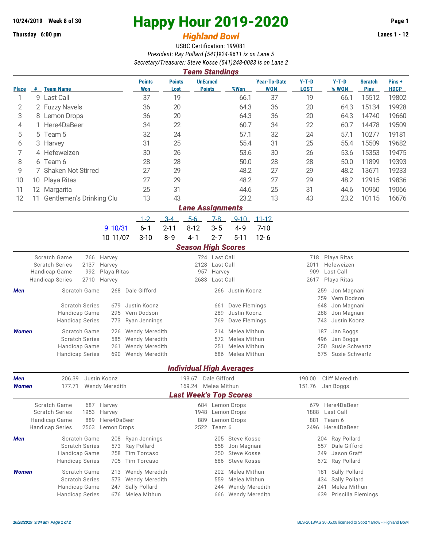## **10/24/2019** Week 8 of 30<br>
Thursday 6:00 pm<br> **Happy Hour 2019-2020** Page 1<br> **Highland Rowl**

## **Thursday 6:00 pm** *Highland Bowl*

USBC Certification: 199081 *President: Ray Pollard (541)924-9611 is on Lane 5 Secretary/Treasurer: Steve Kosse (541)248-0083 is on Lane 2*

| <b>UnEarned</b><br>$Y-T-D$<br>$Y-T-D$<br><b>Points</b><br><b>Points</b><br><b>Year-To-Date</b><br><b>Scratch</b><br>Pins+<br>%Won<br><b>WON</b><br><b>LOST</b><br>% WON<br><b>Pins</b><br><b>HDCP</b><br># Team Name<br><b>Won</b><br><b>Points</b><br><b>Place</b><br>Lost<br>37<br>9 Last Call<br>37<br>19<br>19<br>15512<br>19802<br>1<br>66.1<br>66.1<br>36<br>20<br>64.3<br>36<br>20<br>64.3<br>15134<br>19928<br>2<br>2 Fuzzy Navels<br>3<br>36<br>20<br>64.3<br>36<br>20<br>64.3<br>14740<br>19660<br>8 Lemon Drops<br>Here4DaBeer<br>60.7<br>34<br>22<br>19509<br>34<br>22<br>60.7<br>14478<br>4<br>Team 5<br>32<br>24<br>57.1<br>32<br>24<br>10277<br>19181<br>5<br>57.1<br>5<br>25<br>31<br>25<br>55.4<br>31<br>55.4<br>15509<br>19682<br>6<br>3<br>Harvey<br>7<br>15353<br>4 Hefeweizen<br>30<br>26<br>53.6<br>30<br>26<br>53.6<br>19475<br>8<br>28<br>50.0<br>28<br>28<br>11899<br>19393<br>Team 6<br>28<br>50.0<br>6<br>9<br><b>Shaken Not Stirred</b><br>27<br>29<br>48.2<br>27<br>29<br>48.2<br>13671<br>19233<br>27<br>29<br>48.2<br>27<br>29<br>48.2<br>12915<br>19836<br>10<br>10 Playa Ritas<br>31<br>19066<br>25<br>44.6<br>25<br>31<br>10960<br>11<br>44.6<br>12<br>Margarita<br>13<br>23.2<br>12<br>43<br>13<br>43<br>23.2<br>16676<br>Gentlemen's Drinking Clu<br>10115<br>11<br><b>Lane Assignments</b><br>$3-4$<br>$5-6$<br>$1 - 2$<br>$7-8$<br>$9 - 10$<br>$11 - 12$<br>$3 - 5$<br>$6 - 1$<br>$2 - 11$<br>$8 - 12$<br>$4 - 9$<br>$7 - 10$<br>9 10/31<br>$3 - 10$<br>$8 - 9$<br>$4 - 1$<br>$2 - 7$<br>$12 - 6$<br>10 11/07<br>$5 - 11$<br><b>Season High Scores</b><br>Scratch Game<br>Harvey<br>724 Last Call<br>Playa Ritas<br>766<br>718<br>Hefeweizen<br><b>Scratch Series</b><br>2137<br>Harvey<br>2128<br>Last Call<br>2011<br>Last Call<br>Handicap Game<br>992<br>Playa Ritas<br>957<br>Harvey<br>909<br><b>Handicap Series</b><br>2710<br>Harvey<br>2683<br>Last Call<br>2617<br>Playa Ritas<br>Dale Gifford<br>Scratch Game<br>268<br>Justin Koonz<br>259<br>Jon Magnani<br>Men<br>266<br>259<br>Vern Dodson<br><b>Scratch Series</b><br>Justin Koonz<br>Dave Flemings<br>679<br>648<br>Jon Magnani<br>661<br>Justin Koonz<br>Handicap Game<br>295<br>Vern Dodson<br>289<br>288<br>Jon Magnani<br>Justin Koonz<br><b>Handicap Series</b><br>Ryan Jennings<br>Dave Flemings<br>743<br>773<br>769<br>Melea Mithun<br>Scratch Game<br>Wendy Meredith<br>214<br>Jan Boggs<br><b>Women</b><br>226<br>187<br><b>Scratch Series</b><br>585<br>Wendy Meredith<br>572<br>Melea Mithun<br>496<br>Jan Boggs<br>Wendy Meredith<br>Melea Mithun<br>Susie Schwartz<br>Handicap Game<br>251<br>250<br>261<br>Susie Schwartz<br><b>Handicap Series</b><br>Wendy Meredith<br>686<br>Melea Mithun<br>675<br>690<br><b>Individual High Averages</b><br>Men<br>206.39<br>Justin Koonz<br>193.67<br>Dale Gifford<br>190.00<br>Cliff Meredith<br>177.71<br>169.24 Melea Mithun<br>Women<br><b>Wendy Meredith</b><br>151.76<br>Jan Boggs<br><b>Last Week's Top Scores</b><br>Scratch Game<br>Here4DaBeer<br>684 Lemon Drops<br>687<br>Harvey<br>679<br><b>Scratch Series</b><br>1953<br>1888<br>Last Call<br>Harvey<br>1948 Lemon Drops<br>Handicap Game<br>889<br>Here4DaBeer<br>Lemon Drops<br>881<br>Team 6<br>889<br><b>Handicap Series</b><br>2563<br>Lemon Drops<br>2522<br>2496 Here4DaBeer<br>Team 6<br>Scratch Game<br>Steve Kosse<br>204 Ray Pollard<br>Ryan Jennings<br>205<br>Men<br>208<br><b>Scratch Series</b><br>Ray Pollard<br>Jon Magnani<br>557<br>Dale Gifford<br>573<br>558<br>Tim Torcaso<br>Steve Kosse<br>Jason Graff<br>Handicap Game<br>258<br>250<br>249<br>Tim Torcaso<br><b>Handicap Series</b><br>Steve Kosse<br>Ray Pollard<br>705<br>686<br>672<br>Scratch Game<br>Wendy Meredith<br>Melea Mithun<br>Sally Pollard<br><b>Women</b><br>202<br>213<br>181<br><b>Scratch Series</b><br>Wendy Meredith<br>Melea Mithun<br>Sally Pollard<br>573<br>559<br>434<br>Sally Pollard<br>Melea Mithun<br>Handicap Game<br>244<br><b>Wendy Meredith</b><br>241<br>247<br>Melea Mithun<br>Wendy Meredith<br>Priscilla Flemings<br><b>Handicap Series</b><br>639<br>676<br>666 | <b>Team Standings</b> |  |  |  |  |  |  |  |  |  |  |  |  |  |  |  |  |  |
|-------------------------------------------------------------------------------------------------------------------------------------------------------------------------------------------------------------------------------------------------------------------------------------------------------------------------------------------------------------------------------------------------------------------------------------------------------------------------------------------------------------------------------------------------------------------------------------------------------------------------------------------------------------------------------------------------------------------------------------------------------------------------------------------------------------------------------------------------------------------------------------------------------------------------------------------------------------------------------------------------------------------------------------------------------------------------------------------------------------------------------------------------------------------------------------------------------------------------------------------------------------------------------------------------------------------------------------------------------------------------------------------------------------------------------------------------------------------------------------------------------------------------------------------------------------------------------------------------------------------------------------------------------------------------------------------------------------------------------------------------------------------------------------------------------------------------------------------------------------------------------------------------------------------------------------------------------------------------------------------------------------------------------------------------------------------------------------------------------------------------------------------------------------------------------------------------------------------------------------------------------------------------------------------------------------------------------------------------------------------------------------------------------------------------------------------------------------------------------------------------------------------------------------------------------------------------------------------------------------------------------------------------------------------------------------------------------------------------------------------------------------------------------------------------------------------------------------------------------------------------------------------------------------------------------------------------------------------------------------------------------------------------------------------------------------------------------------------------------------------------------------------------------------------------------------------------------------------------------------------------------------------------------------------------------------------------------------------------------------------------------------------------------------------------------------------------------------------------------------------------------------------------------------------------------------------------------------------------------------------------------------------------------------------------------------------------------------------------------------------------------------------------------------------------------------------------------------------------------------------------------------------------------------------------------------------------------------------------------------------------------------------------------------------------------------------------------------------------------------|-----------------------|--|--|--|--|--|--|--|--|--|--|--|--|--|--|--|--|--|
|                                                                                                                                                                                                                                                                                                                                                                                                                                                                                                                                                                                                                                                                                                                                                                                                                                                                                                                                                                                                                                                                                                                                                                                                                                                                                                                                                                                                                                                                                                                                                                                                                                                                                                                                                                                                                                                                                                                                                                                                                                                                                                                                                                                                                                                                                                                                                                                                                                                                                                                                                                                                                                                                                                                                                                                                                                                                                                                                                                                                                                                                                                                                                                                                                                                                                                                                                                                                                                                                                                                                                                                                                                                                                                                                                                                                                                                                                                                                                                                                                                                                                                             |                       |  |  |  |  |  |  |  |  |  |  |  |  |  |  |  |  |  |
|                                                                                                                                                                                                                                                                                                                                                                                                                                                                                                                                                                                                                                                                                                                                                                                                                                                                                                                                                                                                                                                                                                                                                                                                                                                                                                                                                                                                                                                                                                                                                                                                                                                                                                                                                                                                                                                                                                                                                                                                                                                                                                                                                                                                                                                                                                                                                                                                                                                                                                                                                                                                                                                                                                                                                                                                                                                                                                                                                                                                                                                                                                                                                                                                                                                                                                                                                                                                                                                                                                                                                                                                                                                                                                                                                                                                                                                                                                                                                                                                                                                                                                             |                       |  |  |  |  |  |  |  |  |  |  |  |  |  |  |  |  |  |
|                                                                                                                                                                                                                                                                                                                                                                                                                                                                                                                                                                                                                                                                                                                                                                                                                                                                                                                                                                                                                                                                                                                                                                                                                                                                                                                                                                                                                                                                                                                                                                                                                                                                                                                                                                                                                                                                                                                                                                                                                                                                                                                                                                                                                                                                                                                                                                                                                                                                                                                                                                                                                                                                                                                                                                                                                                                                                                                                                                                                                                                                                                                                                                                                                                                                                                                                                                                                                                                                                                                                                                                                                                                                                                                                                                                                                                                                                                                                                                                                                                                                                                             |                       |  |  |  |  |  |  |  |  |  |  |  |  |  |  |  |  |  |
|                                                                                                                                                                                                                                                                                                                                                                                                                                                                                                                                                                                                                                                                                                                                                                                                                                                                                                                                                                                                                                                                                                                                                                                                                                                                                                                                                                                                                                                                                                                                                                                                                                                                                                                                                                                                                                                                                                                                                                                                                                                                                                                                                                                                                                                                                                                                                                                                                                                                                                                                                                                                                                                                                                                                                                                                                                                                                                                                                                                                                                                                                                                                                                                                                                                                                                                                                                                                                                                                                                                                                                                                                                                                                                                                                                                                                                                                                                                                                                                                                                                                                                             |                       |  |  |  |  |  |  |  |  |  |  |  |  |  |  |  |  |  |
|                                                                                                                                                                                                                                                                                                                                                                                                                                                                                                                                                                                                                                                                                                                                                                                                                                                                                                                                                                                                                                                                                                                                                                                                                                                                                                                                                                                                                                                                                                                                                                                                                                                                                                                                                                                                                                                                                                                                                                                                                                                                                                                                                                                                                                                                                                                                                                                                                                                                                                                                                                                                                                                                                                                                                                                                                                                                                                                                                                                                                                                                                                                                                                                                                                                                                                                                                                                                                                                                                                                                                                                                                                                                                                                                                                                                                                                                                                                                                                                                                                                                                                             |                       |  |  |  |  |  |  |  |  |  |  |  |  |  |  |  |  |  |
|                                                                                                                                                                                                                                                                                                                                                                                                                                                                                                                                                                                                                                                                                                                                                                                                                                                                                                                                                                                                                                                                                                                                                                                                                                                                                                                                                                                                                                                                                                                                                                                                                                                                                                                                                                                                                                                                                                                                                                                                                                                                                                                                                                                                                                                                                                                                                                                                                                                                                                                                                                                                                                                                                                                                                                                                                                                                                                                                                                                                                                                                                                                                                                                                                                                                                                                                                                                                                                                                                                                                                                                                                                                                                                                                                                                                                                                                                                                                                                                                                                                                                                             |                       |  |  |  |  |  |  |  |  |  |  |  |  |  |  |  |  |  |
|                                                                                                                                                                                                                                                                                                                                                                                                                                                                                                                                                                                                                                                                                                                                                                                                                                                                                                                                                                                                                                                                                                                                                                                                                                                                                                                                                                                                                                                                                                                                                                                                                                                                                                                                                                                                                                                                                                                                                                                                                                                                                                                                                                                                                                                                                                                                                                                                                                                                                                                                                                                                                                                                                                                                                                                                                                                                                                                                                                                                                                                                                                                                                                                                                                                                                                                                                                                                                                                                                                                                                                                                                                                                                                                                                                                                                                                                                                                                                                                                                                                                                                             |                       |  |  |  |  |  |  |  |  |  |  |  |  |  |  |  |  |  |
|                                                                                                                                                                                                                                                                                                                                                                                                                                                                                                                                                                                                                                                                                                                                                                                                                                                                                                                                                                                                                                                                                                                                                                                                                                                                                                                                                                                                                                                                                                                                                                                                                                                                                                                                                                                                                                                                                                                                                                                                                                                                                                                                                                                                                                                                                                                                                                                                                                                                                                                                                                                                                                                                                                                                                                                                                                                                                                                                                                                                                                                                                                                                                                                                                                                                                                                                                                                                                                                                                                                                                                                                                                                                                                                                                                                                                                                                                                                                                                                                                                                                                                             |                       |  |  |  |  |  |  |  |  |  |  |  |  |  |  |  |  |  |
|                                                                                                                                                                                                                                                                                                                                                                                                                                                                                                                                                                                                                                                                                                                                                                                                                                                                                                                                                                                                                                                                                                                                                                                                                                                                                                                                                                                                                                                                                                                                                                                                                                                                                                                                                                                                                                                                                                                                                                                                                                                                                                                                                                                                                                                                                                                                                                                                                                                                                                                                                                                                                                                                                                                                                                                                                                                                                                                                                                                                                                                                                                                                                                                                                                                                                                                                                                                                                                                                                                                                                                                                                                                                                                                                                                                                                                                                                                                                                                                                                                                                                                             |                       |  |  |  |  |  |  |  |  |  |  |  |  |  |  |  |  |  |
|                                                                                                                                                                                                                                                                                                                                                                                                                                                                                                                                                                                                                                                                                                                                                                                                                                                                                                                                                                                                                                                                                                                                                                                                                                                                                                                                                                                                                                                                                                                                                                                                                                                                                                                                                                                                                                                                                                                                                                                                                                                                                                                                                                                                                                                                                                                                                                                                                                                                                                                                                                                                                                                                                                                                                                                                                                                                                                                                                                                                                                                                                                                                                                                                                                                                                                                                                                                                                                                                                                                                                                                                                                                                                                                                                                                                                                                                                                                                                                                                                                                                                                             |                       |  |  |  |  |  |  |  |  |  |  |  |  |  |  |  |  |  |
|                                                                                                                                                                                                                                                                                                                                                                                                                                                                                                                                                                                                                                                                                                                                                                                                                                                                                                                                                                                                                                                                                                                                                                                                                                                                                                                                                                                                                                                                                                                                                                                                                                                                                                                                                                                                                                                                                                                                                                                                                                                                                                                                                                                                                                                                                                                                                                                                                                                                                                                                                                                                                                                                                                                                                                                                                                                                                                                                                                                                                                                                                                                                                                                                                                                                                                                                                                                                                                                                                                                                                                                                                                                                                                                                                                                                                                                                                                                                                                                                                                                                                                             |                       |  |  |  |  |  |  |  |  |  |  |  |  |  |  |  |  |  |
|                                                                                                                                                                                                                                                                                                                                                                                                                                                                                                                                                                                                                                                                                                                                                                                                                                                                                                                                                                                                                                                                                                                                                                                                                                                                                                                                                                                                                                                                                                                                                                                                                                                                                                                                                                                                                                                                                                                                                                                                                                                                                                                                                                                                                                                                                                                                                                                                                                                                                                                                                                                                                                                                                                                                                                                                                                                                                                                                                                                                                                                                                                                                                                                                                                                                                                                                                                                                                                                                                                                                                                                                                                                                                                                                                                                                                                                                                                                                                                                                                                                                                                             |                       |  |  |  |  |  |  |  |  |  |  |  |  |  |  |  |  |  |
|                                                                                                                                                                                                                                                                                                                                                                                                                                                                                                                                                                                                                                                                                                                                                                                                                                                                                                                                                                                                                                                                                                                                                                                                                                                                                                                                                                                                                                                                                                                                                                                                                                                                                                                                                                                                                                                                                                                                                                                                                                                                                                                                                                                                                                                                                                                                                                                                                                                                                                                                                                                                                                                                                                                                                                                                                                                                                                                                                                                                                                                                                                                                                                                                                                                                                                                                                                                                                                                                                                                                                                                                                                                                                                                                                                                                                                                                                                                                                                                                                                                                                                             |                       |  |  |  |  |  |  |  |  |  |  |  |  |  |  |  |  |  |
|                                                                                                                                                                                                                                                                                                                                                                                                                                                                                                                                                                                                                                                                                                                                                                                                                                                                                                                                                                                                                                                                                                                                                                                                                                                                                                                                                                                                                                                                                                                                                                                                                                                                                                                                                                                                                                                                                                                                                                                                                                                                                                                                                                                                                                                                                                                                                                                                                                                                                                                                                                                                                                                                                                                                                                                                                                                                                                                                                                                                                                                                                                                                                                                                                                                                                                                                                                                                                                                                                                                                                                                                                                                                                                                                                                                                                                                                                                                                                                                                                                                                                                             |                       |  |  |  |  |  |  |  |  |  |  |  |  |  |  |  |  |  |
|                                                                                                                                                                                                                                                                                                                                                                                                                                                                                                                                                                                                                                                                                                                                                                                                                                                                                                                                                                                                                                                                                                                                                                                                                                                                                                                                                                                                                                                                                                                                                                                                                                                                                                                                                                                                                                                                                                                                                                                                                                                                                                                                                                                                                                                                                                                                                                                                                                                                                                                                                                                                                                                                                                                                                                                                                                                                                                                                                                                                                                                                                                                                                                                                                                                                                                                                                                                                                                                                                                                                                                                                                                                                                                                                                                                                                                                                                                                                                                                                                                                                                                             |                       |  |  |  |  |  |  |  |  |  |  |  |  |  |  |  |  |  |
|                                                                                                                                                                                                                                                                                                                                                                                                                                                                                                                                                                                                                                                                                                                                                                                                                                                                                                                                                                                                                                                                                                                                                                                                                                                                                                                                                                                                                                                                                                                                                                                                                                                                                                                                                                                                                                                                                                                                                                                                                                                                                                                                                                                                                                                                                                                                                                                                                                                                                                                                                                                                                                                                                                                                                                                                                                                                                                                                                                                                                                                                                                                                                                                                                                                                                                                                                                                                                                                                                                                                                                                                                                                                                                                                                                                                                                                                                                                                                                                                                                                                                                             |                       |  |  |  |  |  |  |  |  |  |  |  |  |  |  |  |  |  |
|                                                                                                                                                                                                                                                                                                                                                                                                                                                                                                                                                                                                                                                                                                                                                                                                                                                                                                                                                                                                                                                                                                                                                                                                                                                                                                                                                                                                                                                                                                                                                                                                                                                                                                                                                                                                                                                                                                                                                                                                                                                                                                                                                                                                                                                                                                                                                                                                                                                                                                                                                                                                                                                                                                                                                                                                                                                                                                                                                                                                                                                                                                                                                                                                                                                                                                                                                                                                                                                                                                                                                                                                                                                                                                                                                                                                                                                                                                                                                                                                                                                                                                             |                       |  |  |  |  |  |  |  |  |  |  |  |  |  |  |  |  |  |
|                                                                                                                                                                                                                                                                                                                                                                                                                                                                                                                                                                                                                                                                                                                                                                                                                                                                                                                                                                                                                                                                                                                                                                                                                                                                                                                                                                                                                                                                                                                                                                                                                                                                                                                                                                                                                                                                                                                                                                                                                                                                                                                                                                                                                                                                                                                                                                                                                                                                                                                                                                                                                                                                                                                                                                                                                                                                                                                                                                                                                                                                                                                                                                                                                                                                                                                                                                                                                                                                                                                                                                                                                                                                                                                                                                                                                                                                                                                                                                                                                                                                                                             |                       |  |  |  |  |  |  |  |  |  |  |  |  |  |  |  |  |  |
|                                                                                                                                                                                                                                                                                                                                                                                                                                                                                                                                                                                                                                                                                                                                                                                                                                                                                                                                                                                                                                                                                                                                                                                                                                                                                                                                                                                                                                                                                                                                                                                                                                                                                                                                                                                                                                                                                                                                                                                                                                                                                                                                                                                                                                                                                                                                                                                                                                                                                                                                                                                                                                                                                                                                                                                                                                                                                                                                                                                                                                                                                                                                                                                                                                                                                                                                                                                                                                                                                                                                                                                                                                                                                                                                                                                                                                                                                                                                                                                                                                                                                                             |                       |  |  |  |  |  |  |  |  |  |  |  |  |  |  |  |  |  |
|                                                                                                                                                                                                                                                                                                                                                                                                                                                                                                                                                                                                                                                                                                                                                                                                                                                                                                                                                                                                                                                                                                                                                                                                                                                                                                                                                                                                                                                                                                                                                                                                                                                                                                                                                                                                                                                                                                                                                                                                                                                                                                                                                                                                                                                                                                                                                                                                                                                                                                                                                                                                                                                                                                                                                                                                                                                                                                                                                                                                                                                                                                                                                                                                                                                                                                                                                                                                                                                                                                                                                                                                                                                                                                                                                                                                                                                                                                                                                                                                                                                                                                             |                       |  |  |  |  |  |  |  |  |  |  |  |  |  |  |  |  |  |
|                                                                                                                                                                                                                                                                                                                                                                                                                                                                                                                                                                                                                                                                                                                                                                                                                                                                                                                                                                                                                                                                                                                                                                                                                                                                                                                                                                                                                                                                                                                                                                                                                                                                                                                                                                                                                                                                                                                                                                                                                                                                                                                                                                                                                                                                                                                                                                                                                                                                                                                                                                                                                                                                                                                                                                                                                                                                                                                                                                                                                                                                                                                                                                                                                                                                                                                                                                                                                                                                                                                                                                                                                                                                                                                                                                                                                                                                                                                                                                                                                                                                                                             |                       |  |  |  |  |  |  |  |  |  |  |  |  |  |  |  |  |  |
|                                                                                                                                                                                                                                                                                                                                                                                                                                                                                                                                                                                                                                                                                                                                                                                                                                                                                                                                                                                                                                                                                                                                                                                                                                                                                                                                                                                                                                                                                                                                                                                                                                                                                                                                                                                                                                                                                                                                                                                                                                                                                                                                                                                                                                                                                                                                                                                                                                                                                                                                                                                                                                                                                                                                                                                                                                                                                                                                                                                                                                                                                                                                                                                                                                                                                                                                                                                                                                                                                                                                                                                                                                                                                                                                                                                                                                                                                                                                                                                                                                                                                                             |                       |  |  |  |  |  |  |  |  |  |  |  |  |  |  |  |  |  |
|                                                                                                                                                                                                                                                                                                                                                                                                                                                                                                                                                                                                                                                                                                                                                                                                                                                                                                                                                                                                                                                                                                                                                                                                                                                                                                                                                                                                                                                                                                                                                                                                                                                                                                                                                                                                                                                                                                                                                                                                                                                                                                                                                                                                                                                                                                                                                                                                                                                                                                                                                                                                                                                                                                                                                                                                                                                                                                                                                                                                                                                                                                                                                                                                                                                                                                                                                                                                                                                                                                                                                                                                                                                                                                                                                                                                                                                                                                                                                                                                                                                                                                             |                       |  |  |  |  |  |  |  |  |  |  |  |  |  |  |  |  |  |
|                                                                                                                                                                                                                                                                                                                                                                                                                                                                                                                                                                                                                                                                                                                                                                                                                                                                                                                                                                                                                                                                                                                                                                                                                                                                                                                                                                                                                                                                                                                                                                                                                                                                                                                                                                                                                                                                                                                                                                                                                                                                                                                                                                                                                                                                                                                                                                                                                                                                                                                                                                                                                                                                                                                                                                                                                                                                                                                                                                                                                                                                                                                                                                                                                                                                                                                                                                                                                                                                                                                                                                                                                                                                                                                                                                                                                                                                                                                                                                                                                                                                                                             |                       |  |  |  |  |  |  |  |  |  |  |  |  |  |  |  |  |  |
|                                                                                                                                                                                                                                                                                                                                                                                                                                                                                                                                                                                                                                                                                                                                                                                                                                                                                                                                                                                                                                                                                                                                                                                                                                                                                                                                                                                                                                                                                                                                                                                                                                                                                                                                                                                                                                                                                                                                                                                                                                                                                                                                                                                                                                                                                                                                                                                                                                                                                                                                                                                                                                                                                                                                                                                                                                                                                                                                                                                                                                                                                                                                                                                                                                                                                                                                                                                                                                                                                                                                                                                                                                                                                                                                                                                                                                                                                                                                                                                                                                                                                                             |                       |  |  |  |  |  |  |  |  |  |  |  |  |  |  |  |  |  |
|                                                                                                                                                                                                                                                                                                                                                                                                                                                                                                                                                                                                                                                                                                                                                                                                                                                                                                                                                                                                                                                                                                                                                                                                                                                                                                                                                                                                                                                                                                                                                                                                                                                                                                                                                                                                                                                                                                                                                                                                                                                                                                                                                                                                                                                                                                                                                                                                                                                                                                                                                                                                                                                                                                                                                                                                                                                                                                                                                                                                                                                                                                                                                                                                                                                                                                                                                                                                                                                                                                                                                                                                                                                                                                                                                                                                                                                                                                                                                                                                                                                                                                             |                       |  |  |  |  |  |  |  |  |  |  |  |  |  |  |  |  |  |
|                                                                                                                                                                                                                                                                                                                                                                                                                                                                                                                                                                                                                                                                                                                                                                                                                                                                                                                                                                                                                                                                                                                                                                                                                                                                                                                                                                                                                                                                                                                                                                                                                                                                                                                                                                                                                                                                                                                                                                                                                                                                                                                                                                                                                                                                                                                                                                                                                                                                                                                                                                                                                                                                                                                                                                                                                                                                                                                                                                                                                                                                                                                                                                                                                                                                                                                                                                                                                                                                                                                                                                                                                                                                                                                                                                                                                                                                                                                                                                                                                                                                                                             |                       |  |  |  |  |  |  |  |  |  |  |  |  |  |  |  |  |  |
|                                                                                                                                                                                                                                                                                                                                                                                                                                                                                                                                                                                                                                                                                                                                                                                                                                                                                                                                                                                                                                                                                                                                                                                                                                                                                                                                                                                                                                                                                                                                                                                                                                                                                                                                                                                                                                                                                                                                                                                                                                                                                                                                                                                                                                                                                                                                                                                                                                                                                                                                                                                                                                                                                                                                                                                                                                                                                                                                                                                                                                                                                                                                                                                                                                                                                                                                                                                                                                                                                                                                                                                                                                                                                                                                                                                                                                                                                                                                                                                                                                                                                                             |                       |  |  |  |  |  |  |  |  |  |  |  |  |  |  |  |  |  |
|                                                                                                                                                                                                                                                                                                                                                                                                                                                                                                                                                                                                                                                                                                                                                                                                                                                                                                                                                                                                                                                                                                                                                                                                                                                                                                                                                                                                                                                                                                                                                                                                                                                                                                                                                                                                                                                                                                                                                                                                                                                                                                                                                                                                                                                                                                                                                                                                                                                                                                                                                                                                                                                                                                                                                                                                                                                                                                                                                                                                                                                                                                                                                                                                                                                                                                                                                                                                                                                                                                                                                                                                                                                                                                                                                                                                                                                                                                                                                                                                                                                                                                             |                       |  |  |  |  |  |  |  |  |  |  |  |  |  |  |  |  |  |
|                                                                                                                                                                                                                                                                                                                                                                                                                                                                                                                                                                                                                                                                                                                                                                                                                                                                                                                                                                                                                                                                                                                                                                                                                                                                                                                                                                                                                                                                                                                                                                                                                                                                                                                                                                                                                                                                                                                                                                                                                                                                                                                                                                                                                                                                                                                                                                                                                                                                                                                                                                                                                                                                                                                                                                                                                                                                                                                                                                                                                                                                                                                                                                                                                                                                                                                                                                                                                                                                                                                                                                                                                                                                                                                                                                                                                                                                                                                                                                                                                                                                                                             |                       |  |  |  |  |  |  |  |  |  |  |  |  |  |  |  |  |  |
|                                                                                                                                                                                                                                                                                                                                                                                                                                                                                                                                                                                                                                                                                                                                                                                                                                                                                                                                                                                                                                                                                                                                                                                                                                                                                                                                                                                                                                                                                                                                                                                                                                                                                                                                                                                                                                                                                                                                                                                                                                                                                                                                                                                                                                                                                                                                                                                                                                                                                                                                                                                                                                                                                                                                                                                                                                                                                                                                                                                                                                                                                                                                                                                                                                                                                                                                                                                                                                                                                                                                                                                                                                                                                                                                                                                                                                                                                                                                                                                                                                                                                                             |                       |  |  |  |  |  |  |  |  |  |  |  |  |  |  |  |  |  |
|                                                                                                                                                                                                                                                                                                                                                                                                                                                                                                                                                                                                                                                                                                                                                                                                                                                                                                                                                                                                                                                                                                                                                                                                                                                                                                                                                                                                                                                                                                                                                                                                                                                                                                                                                                                                                                                                                                                                                                                                                                                                                                                                                                                                                                                                                                                                                                                                                                                                                                                                                                                                                                                                                                                                                                                                                                                                                                                                                                                                                                                                                                                                                                                                                                                                                                                                                                                                                                                                                                                                                                                                                                                                                                                                                                                                                                                                                                                                                                                                                                                                                                             |                       |  |  |  |  |  |  |  |  |  |  |  |  |  |  |  |  |  |
|                                                                                                                                                                                                                                                                                                                                                                                                                                                                                                                                                                                                                                                                                                                                                                                                                                                                                                                                                                                                                                                                                                                                                                                                                                                                                                                                                                                                                                                                                                                                                                                                                                                                                                                                                                                                                                                                                                                                                                                                                                                                                                                                                                                                                                                                                                                                                                                                                                                                                                                                                                                                                                                                                                                                                                                                                                                                                                                                                                                                                                                                                                                                                                                                                                                                                                                                                                                                                                                                                                                                                                                                                                                                                                                                                                                                                                                                                                                                                                                                                                                                                                             |                       |  |  |  |  |  |  |  |  |  |  |  |  |  |  |  |  |  |
|                                                                                                                                                                                                                                                                                                                                                                                                                                                                                                                                                                                                                                                                                                                                                                                                                                                                                                                                                                                                                                                                                                                                                                                                                                                                                                                                                                                                                                                                                                                                                                                                                                                                                                                                                                                                                                                                                                                                                                                                                                                                                                                                                                                                                                                                                                                                                                                                                                                                                                                                                                                                                                                                                                                                                                                                                                                                                                                                                                                                                                                                                                                                                                                                                                                                                                                                                                                                                                                                                                                                                                                                                                                                                                                                                                                                                                                                                                                                                                                                                                                                                                             |                       |  |  |  |  |  |  |  |  |  |  |  |  |  |  |  |  |  |
|                                                                                                                                                                                                                                                                                                                                                                                                                                                                                                                                                                                                                                                                                                                                                                                                                                                                                                                                                                                                                                                                                                                                                                                                                                                                                                                                                                                                                                                                                                                                                                                                                                                                                                                                                                                                                                                                                                                                                                                                                                                                                                                                                                                                                                                                                                                                                                                                                                                                                                                                                                                                                                                                                                                                                                                                                                                                                                                                                                                                                                                                                                                                                                                                                                                                                                                                                                                                                                                                                                                                                                                                                                                                                                                                                                                                                                                                                                                                                                                                                                                                                                             |                       |  |  |  |  |  |  |  |  |  |  |  |  |  |  |  |  |  |
|                                                                                                                                                                                                                                                                                                                                                                                                                                                                                                                                                                                                                                                                                                                                                                                                                                                                                                                                                                                                                                                                                                                                                                                                                                                                                                                                                                                                                                                                                                                                                                                                                                                                                                                                                                                                                                                                                                                                                                                                                                                                                                                                                                                                                                                                                                                                                                                                                                                                                                                                                                                                                                                                                                                                                                                                                                                                                                                                                                                                                                                                                                                                                                                                                                                                                                                                                                                                                                                                                                                                                                                                                                                                                                                                                                                                                                                                                                                                                                                                                                                                                                             |                       |  |  |  |  |  |  |  |  |  |  |  |  |  |  |  |  |  |
|                                                                                                                                                                                                                                                                                                                                                                                                                                                                                                                                                                                                                                                                                                                                                                                                                                                                                                                                                                                                                                                                                                                                                                                                                                                                                                                                                                                                                                                                                                                                                                                                                                                                                                                                                                                                                                                                                                                                                                                                                                                                                                                                                                                                                                                                                                                                                                                                                                                                                                                                                                                                                                                                                                                                                                                                                                                                                                                                                                                                                                                                                                                                                                                                                                                                                                                                                                                                                                                                                                                                                                                                                                                                                                                                                                                                                                                                                                                                                                                                                                                                                                             |                       |  |  |  |  |  |  |  |  |  |  |  |  |  |  |  |  |  |
|                                                                                                                                                                                                                                                                                                                                                                                                                                                                                                                                                                                                                                                                                                                                                                                                                                                                                                                                                                                                                                                                                                                                                                                                                                                                                                                                                                                                                                                                                                                                                                                                                                                                                                                                                                                                                                                                                                                                                                                                                                                                                                                                                                                                                                                                                                                                                                                                                                                                                                                                                                                                                                                                                                                                                                                                                                                                                                                                                                                                                                                                                                                                                                                                                                                                                                                                                                                                                                                                                                                                                                                                                                                                                                                                                                                                                                                                                                                                                                                                                                                                                                             |                       |  |  |  |  |  |  |  |  |  |  |  |  |  |  |  |  |  |
|                                                                                                                                                                                                                                                                                                                                                                                                                                                                                                                                                                                                                                                                                                                                                                                                                                                                                                                                                                                                                                                                                                                                                                                                                                                                                                                                                                                                                                                                                                                                                                                                                                                                                                                                                                                                                                                                                                                                                                                                                                                                                                                                                                                                                                                                                                                                                                                                                                                                                                                                                                                                                                                                                                                                                                                                                                                                                                                                                                                                                                                                                                                                                                                                                                                                                                                                                                                                                                                                                                                                                                                                                                                                                                                                                                                                                                                                                                                                                                                                                                                                                                             |                       |  |  |  |  |  |  |  |  |  |  |  |  |  |  |  |  |  |
|                                                                                                                                                                                                                                                                                                                                                                                                                                                                                                                                                                                                                                                                                                                                                                                                                                                                                                                                                                                                                                                                                                                                                                                                                                                                                                                                                                                                                                                                                                                                                                                                                                                                                                                                                                                                                                                                                                                                                                                                                                                                                                                                                                                                                                                                                                                                                                                                                                                                                                                                                                                                                                                                                                                                                                                                                                                                                                                                                                                                                                                                                                                                                                                                                                                                                                                                                                                                                                                                                                                                                                                                                                                                                                                                                                                                                                                                                                                                                                                                                                                                                                             |                       |  |  |  |  |  |  |  |  |  |  |  |  |  |  |  |  |  |
|                                                                                                                                                                                                                                                                                                                                                                                                                                                                                                                                                                                                                                                                                                                                                                                                                                                                                                                                                                                                                                                                                                                                                                                                                                                                                                                                                                                                                                                                                                                                                                                                                                                                                                                                                                                                                                                                                                                                                                                                                                                                                                                                                                                                                                                                                                                                                                                                                                                                                                                                                                                                                                                                                                                                                                                                                                                                                                                                                                                                                                                                                                                                                                                                                                                                                                                                                                                                                                                                                                                                                                                                                                                                                                                                                                                                                                                                                                                                                                                                                                                                                                             |                       |  |  |  |  |  |  |  |  |  |  |  |  |  |  |  |  |  |